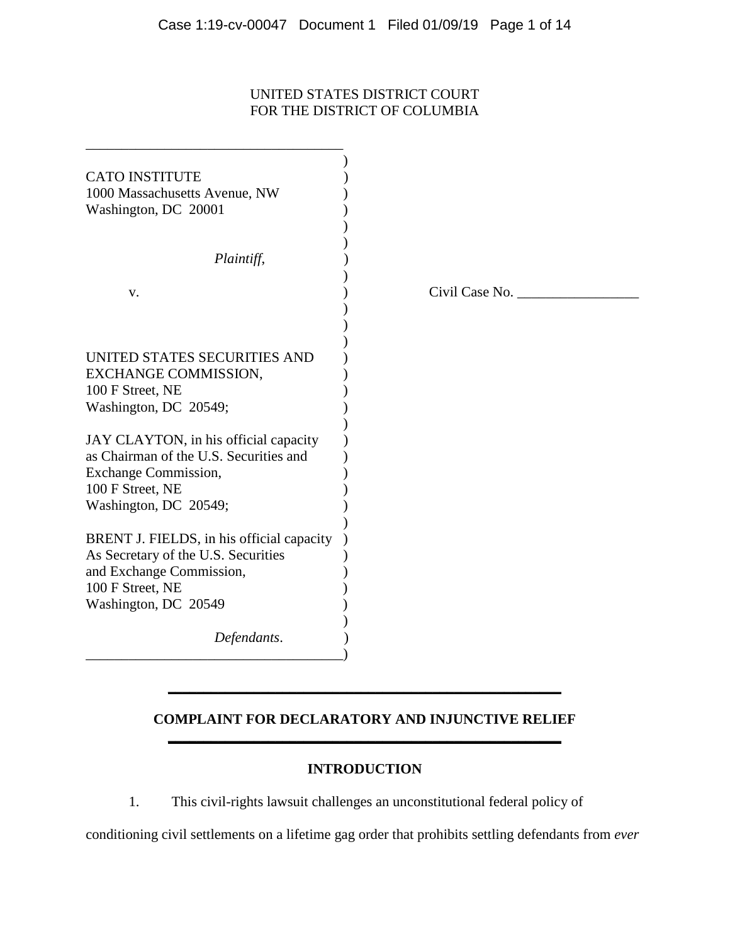## UNITED STATES DISTRICT COURT FOR THE DISTRICT OF COLUMBIA

| <b>CATO INSTITUTE</b>                     |                |
|-------------------------------------------|----------------|
| 1000 Massachusetts Avenue, NW             |                |
| Washington, DC 20001                      |                |
|                                           |                |
| Plaintiff,                                |                |
| V.                                        | Civil Case No. |
|                                           |                |
|                                           |                |
| UNITED STATES SECURITIES AND              |                |
| EXCHANGE COMMISSION,                      |                |
| 100 F Street, NE                          |                |
| Washington, DC 20549;                     |                |
|                                           |                |
| JAY CLAYTON, in his official capacity     |                |
| as Chairman of the U.S. Securities and    |                |
| <b>Exchange Commission,</b>               |                |
| 100 F Street, NE                          |                |
| Washington, DC 20549;                     |                |
| BRENT J. FIELDS, in his official capacity |                |
| As Secretary of the U.S. Securities       |                |
| and Exchange Commission,                  |                |
| 100 F Street, NE                          |                |
| Washington, DC 20549                      |                |
|                                           |                |
| Defendants.                               |                |
|                                           |                |

## **COMPLAINT FOR DECLARATORY AND INJUNCTIVE RELIEF \_\_\_\_\_\_\_\_\_\_\_\_\_\_\_\_\_\_\_\_\_\_\_\_\_\_\_\_\_\_\_\_\_\_\_\_\_\_\_\_\_\_\_\_\_\_\_\_\_\_\_\_\_\_\_**

**\_\_\_\_\_\_\_\_\_\_\_\_\_\_\_\_\_\_\_\_\_\_\_\_\_\_\_\_\_\_\_\_\_\_\_\_\_\_\_\_\_\_\_\_\_\_\_\_\_\_\_\_\_\_\_** 

# **INTRODUCTION**

1. This civil-rights lawsuit challenges an unconstitutional federal policy of

conditioning civil settlements on a lifetime gag order that prohibits settling defendants from *ever*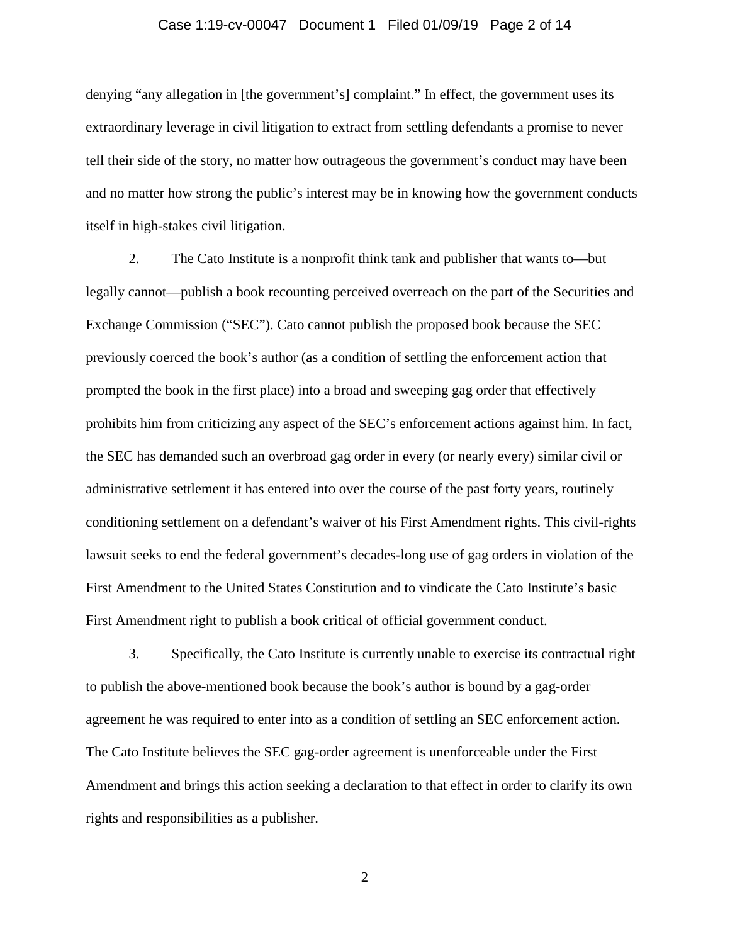#### Case 1:19-cv-00047 Document 1 Filed 01/09/19 Page 2 of 14

denying "any allegation in [the government's] complaint." In effect, the government uses its extraordinary leverage in civil litigation to extract from settling defendants a promise to never tell their side of the story, no matter how outrageous the government's conduct may have been and no matter how strong the public's interest may be in knowing how the government conducts itself in high-stakes civil litigation.

2. The Cato Institute is a nonprofit think tank and publisher that wants to—but legally cannot—publish a book recounting perceived overreach on the part of the Securities and Exchange Commission ("SEC"). Cato cannot publish the proposed book because the SEC previously coerced the book's author (as a condition of settling the enforcement action that prompted the book in the first place) into a broad and sweeping gag order that effectively prohibits him from criticizing any aspect of the SEC's enforcement actions against him. In fact, the SEC has demanded such an overbroad gag order in every (or nearly every) similar civil or administrative settlement it has entered into over the course of the past forty years, routinely conditioning settlement on a defendant's waiver of his First Amendment rights. This civil-rights lawsuit seeks to end the federal government's decades-long use of gag orders in violation of the First Amendment to the United States Constitution and to vindicate the Cato Institute's basic First Amendment right to publish a book critical of official government conduct.

3. Specifically, the Cato Institute is currently unable to exercise its contractual right to publish the above-mentioned book because the book's author is bound by a gag-order agreement he was required to enter into as a condition of settling an SEC enforcement action. The Cato Institute believes the SEC gag-order agreement is unenforceable under the First Amendment and brings this action seeking a declaration to that effect in order to clarify its own rights and responsibilities as a publisher.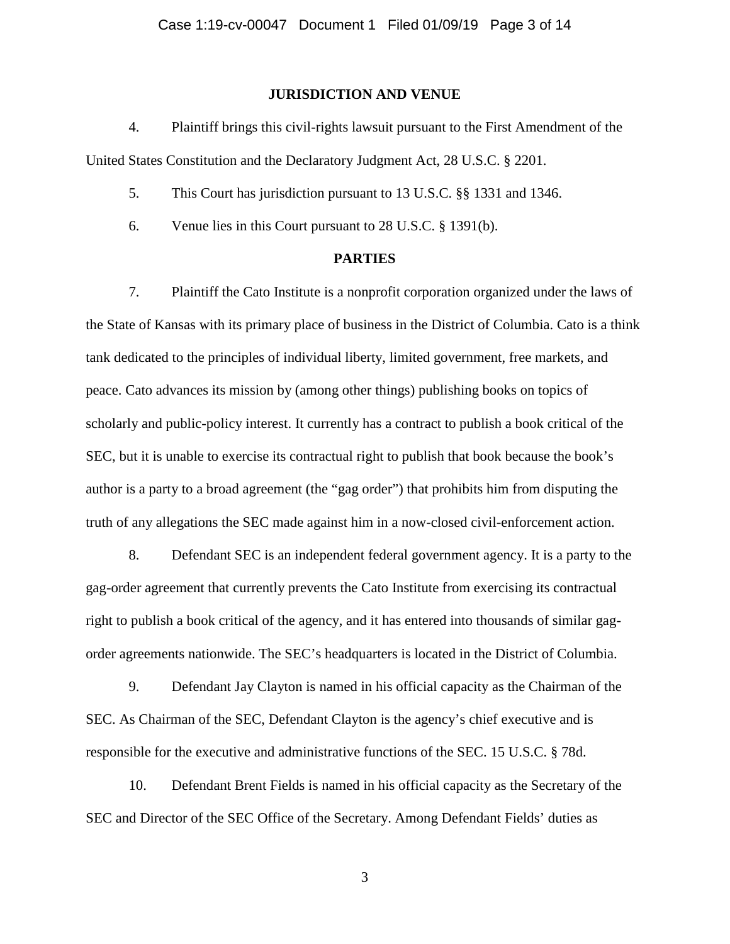#### **JURISDICTION AND VENUE**

4. Plaintiff brings this civil-rights lawsuit pursuant to the First Amendment of the United States Constitution and the Declaratory Judgment Act, 28 U.S.C. § 2201.

- 5. This Court has jurisdiction pursuant to 13 U.S.C. §§ 1331 and 1346.
- 6. Venue lies in this Court pursuant to 28 U.S.C. § 1391(b).

### **PARTIES**

7. Plaintiff the Cato Institute is a nonprofit corporation organized under the laws of the State of Kansas with its primary place of business in the District of Columbia. Cato is a think tank dedicated to the principles of individual liberty, limited government, free markets, and peace. Cato advances its mission by (among other things) publishing books on topics of scholarly and public-policy interest. It currently has a contract to publish a book critical of the SEC, but it is unable to exercise its contractual right to publish that book because the book's author is a party to a broad agreement (the "gag order") that prohibits him from disputing the truth of any allegations the SEC made against him in a now-closed civil-enforcement action.

8. Defendant SEC is an independent federal government agency. It is a party to the gag-order agreement that currently prevents the Cato Institute from exercising its contractual right to publish a book critical of the agency, and it has entered into thousands of similar gagorder agreements nationwide. The SEC's headquarters is located in the District of Columbia.

9. Defendant Jay Clayton is named in his official capacity as the Chairman of the SEC. As Chairman of the SEC, Defendant Clayton is the agency's chief executive and is responsible for the executive and administrative functions of the SEC. 15 U.S.C. § 78d.

10. Defendant Brent Fields is named in his official capacity as the Secretary of the SEC and Director of the SEC Office of the Secretary. Among Defendant Fields' duties as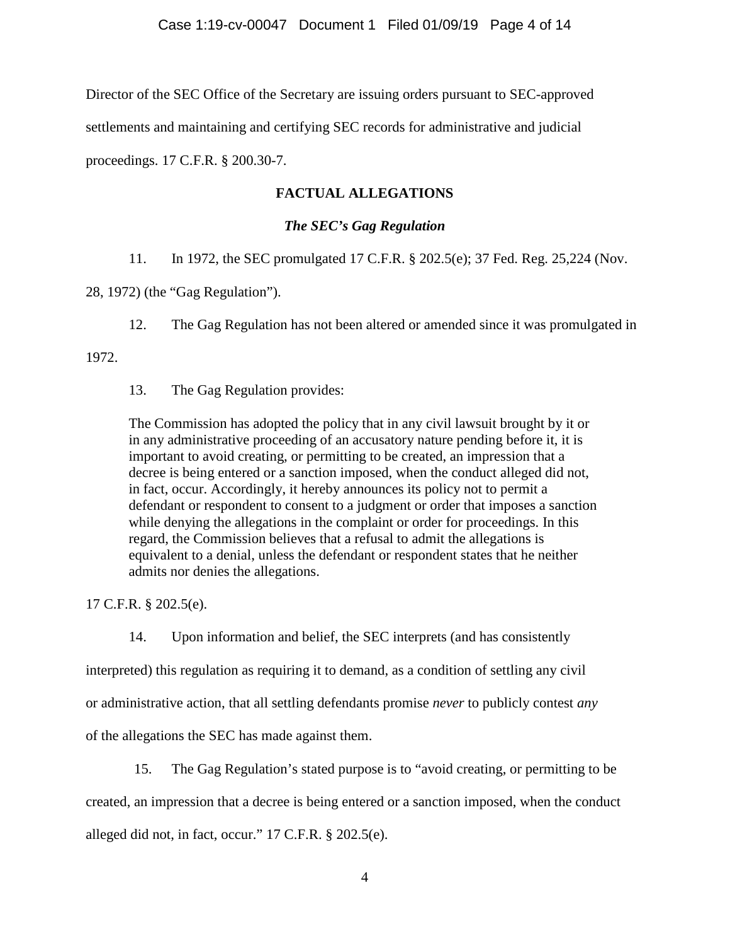Director of the SEC Office of the Secretary are issuing orders pursuant to SEC-approved

settlements and maintaining and certifying SEC records for administrative and judicial

proceedings. 17 C.F.R. § 200.30-7.

# **FACTUAL ALLEGATIONS**

## *The SEC's Gag Regulation*

11. In 1972, the SEC promulgated 17 C.F.R. § 202.5(e); 37 Fed. Reg. 25,224 (Nov.

28, 1972) (the "Gag Regulation").

12. The Gag Regulation has not been altered or amended since it was promulgated in

1972.

13. The Gag Regulation provides:

The Commission has adopted the policy that in any civil lawsuit brought by it or in any administrative proceeding of an accusatory nature pending before it, it is important to avoid creating, or permitting to be created, an impression that a decree is being entered or a sanction imposed, when the conduct alleged did not, in fact, occur. Accordingly, it hereby announces its policy not to permit a defendant or respondent to consent to a judgment or order that imposes a sanction while denying the allegations in the complaint or order for proceedings. In this regard, the Commission believes that a refusal to admit the allegations is equivalent to a denial, unless the defendant or respondent states that he neither admits nor denies the allegations.

17 C.F.R. § 202.5(e).

14. Upon information and belief, the SEC interprets (and has consistently

interpreted) this regulation as requiring it to demand, as a condition of settling any civil

or administrative action, that all settling defendants promise *never* to publicly contest *any* 

of the allegations the SEC has made against them.

15. The Gag Regulation's stated purpose is to "avoid creating, or permitting to be created, an impression that a decree is being entered or a sanction imposed, when the conduct alleged did not, in fact, occur." 17 C.F.R. § 202.5(e).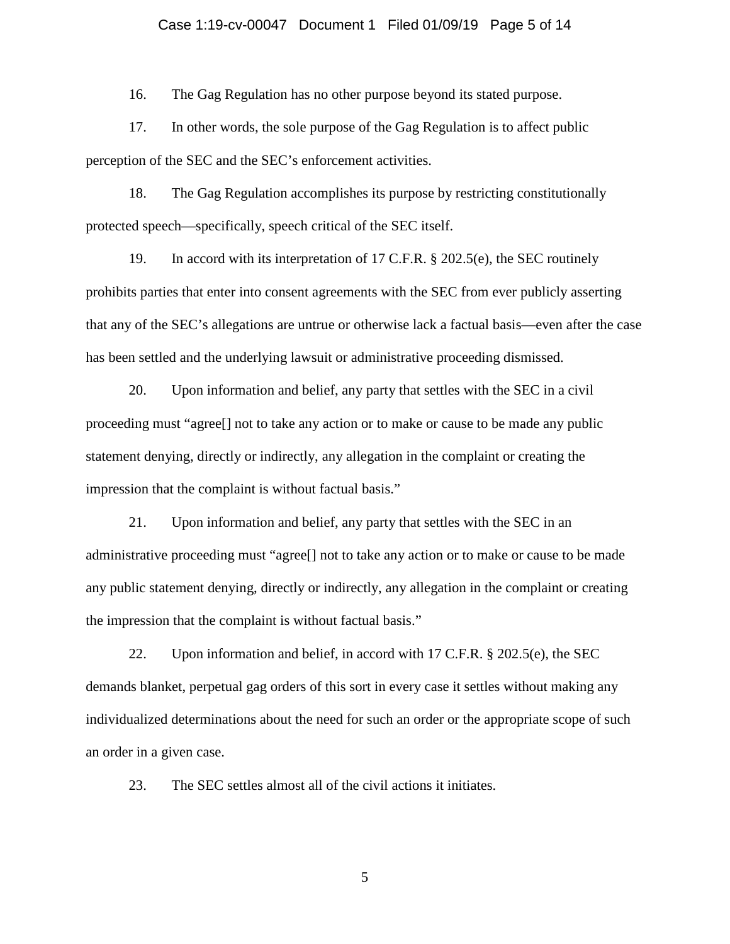## Case 1:19-cv-00047 Document 1 Filed 01/09/19 Page 5 of 14

16. The Gag Regulation has no other purpose beyond its stated purpose.

17. In other words, the sole purpose of the Gag Regulation is to affect public perception of the SEC and the SEC's enforcement activities.

18. The Gag Regulation accomplishes its purpose by restricting constitutionally protected speech—specifically, speech critical of the SEC itself.

19. In accord with its interpretation of 17 C.F.R. § 202.5(e), the SEC routinely prohibits parties that enter into consent agreements with the SEC from ever publicly asserting that any of the SEC's allegations are untrue or otherwise lack a factual basis—even after the case has been settled and the underlying lawsuit or administrative proceeding dismissed.

20. Upon information and belief, any party that settles with the SEC in a civil proceeding must "agree[] not to take any action or to make or cause to be made any public statement denying, directly or indirectly, any allegation in the complaint or creating the impression that the complaint is without factual basis."

21. Upon information and belief, any party that settles with the SEC in an administrative proceeding must "agree[] not to take any action or to make or cause to be made any public statement denying, directly or indirectly, any allegation in the complaint or creating the impression that the complaint is without factual basis."

22. Upon information and belief, in accord with 17 C.F.R. § 202.5(e), the SEC demands blanket, perpetual gag orders of this sort in every case it settles without making any individualized determinations about the need for such an order or the appropriate scope of such an order in a given case.

23. The SEC settles almost all of the civil actions it initiates.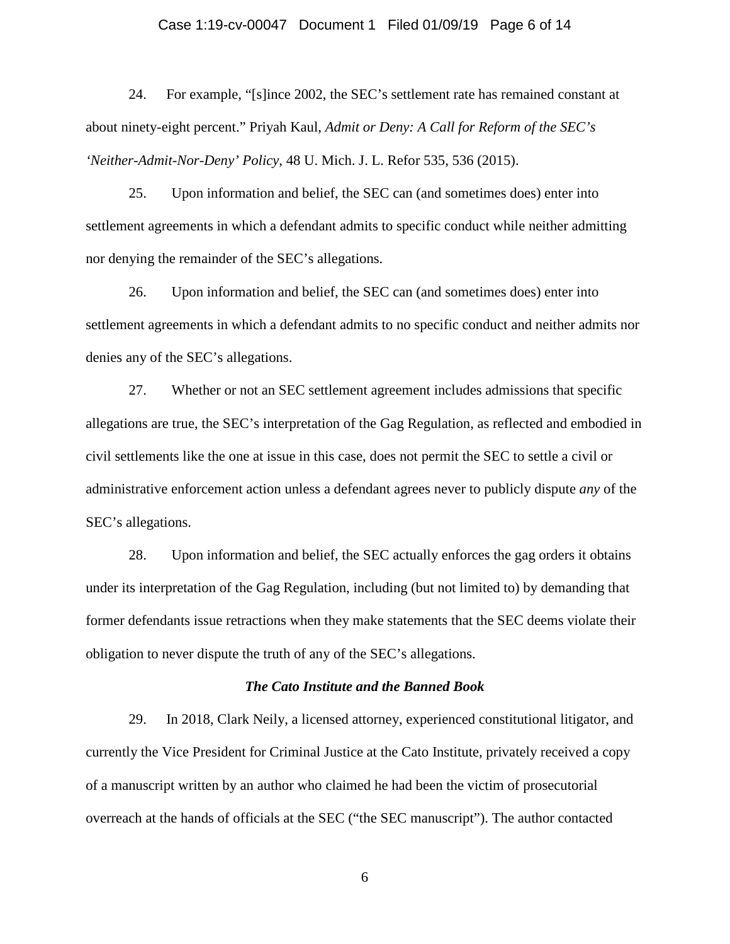#### Case 1:19-cv-00047 Document 1 Filed 01/09/19 Page 6 of 14

24. For example, "[s]ince 2002, the SEC's settlement rate has remained constant at about ninety-eight percent." Priyah Kaul, *Admit or Deny: A Call for Reform of the SEC's 'Neither-Admit-Nor-Deny' Policy*, 48 U. Mich. J. L. Refor 535, 536 (2015).

25. Upon information and belief, the SEC can (and sometimes does) enter into settlement agreements in which a defendant admits to specific conduct while neither admitting nor denying the remainder of the SEC's allegations.

26. Upon information and belief, the SEC can (and sometimes does) enter into settlement agreements in which a defendant admits to no specific conduct and neither admits nor denies any of the SEC's allegations.

27. Whether or not an SEC settlement agreement includes admissions that specific allegations are true, the SEC's interpretation of the Gag Regulation, as reflected and embodied in civil settlements like the one at issue in this case, does not permit the SEC to settle a civil or administrative enforcement action unless a defendant agrees never to publicly dispute *any* of the SEC's allegations.

28. Upon information and belief, the SEC actually enforces the gag orders it obtains under its interpretation of the Gag Regulation, including (but not limited to) by demanding that former defendants issue retractions when they make statements that the SEC deems violate their obligation to never dispute the truth of any of the SEC's allegations.

#### *The Cato Institute and the Banned Book*

29. In 2018, Clark Neily, a licensed attorney, experienced constitutional litigator, and currently the Vice President for Criminal Justice at the Cato Institute, privately received a copy of a manuscript written by an author who claimed he had been the victim of prosecutorial overreach at the hands of officials at the SEC ("the SEC manuscript"). The author contacted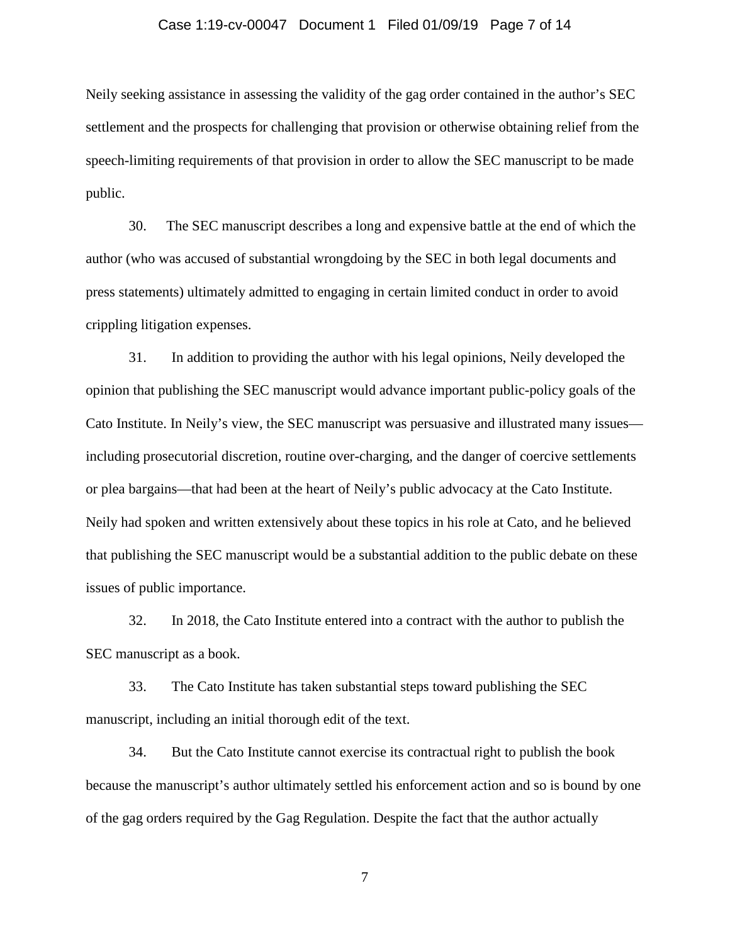## Case 1:19-cv-00047 Document 1 Filed 01/09/19 Page 7 of 14

Neily seeking assistance in assessing the validity of the gag order contained in the author's SEC settlement and the prospects for challenging that provision or otherwise obtaining relief from the speech-limiting requirements of that provision in order to allow the SEC manuscript to be made public.

30. The SEC manuscript describes a long and expensive battle at the end of which the author (who was accused of substantial wrongdoing by the SEC in both legal documents and press statements) ultimately admitted to engaging in certain limited conduct in order to avoid crippling litigation expenses.

31. In addition to providing the author with his legal opinions, Neily developed the opinion that publishing the SEC manuscript would advance important public-policy goals of the Cato Institute. In Neily's view, the SEC manuscript was persuasive and illustrated many issues including prosecutorial discretion, routine over-charging, and the danger of coercive settlements or plea bargains—that had been at the heart of Neily's public advocacy at the Cato Institute. Neily had spoken and written extensively about these topics in his role at Cato, and he believed that publishing the SEC manuscript would be a substantial addition to the public debate on these issues of public importance.

32. In 2018, the Cato Institute entered into a contract with the author to publish the SEC manuscript as a book.

33. The Cato Institute has taken substantial steps toward publishing the SEC manuscript, including an initial thorough edit of the text.

34. But the Cato Institute cannot exercise its contractual right to publish the book because the manuscript's author ultimately settled his enforcement action and so is bound by one of the gag orders required by the Gag Regulation. Despite the fact that the author actually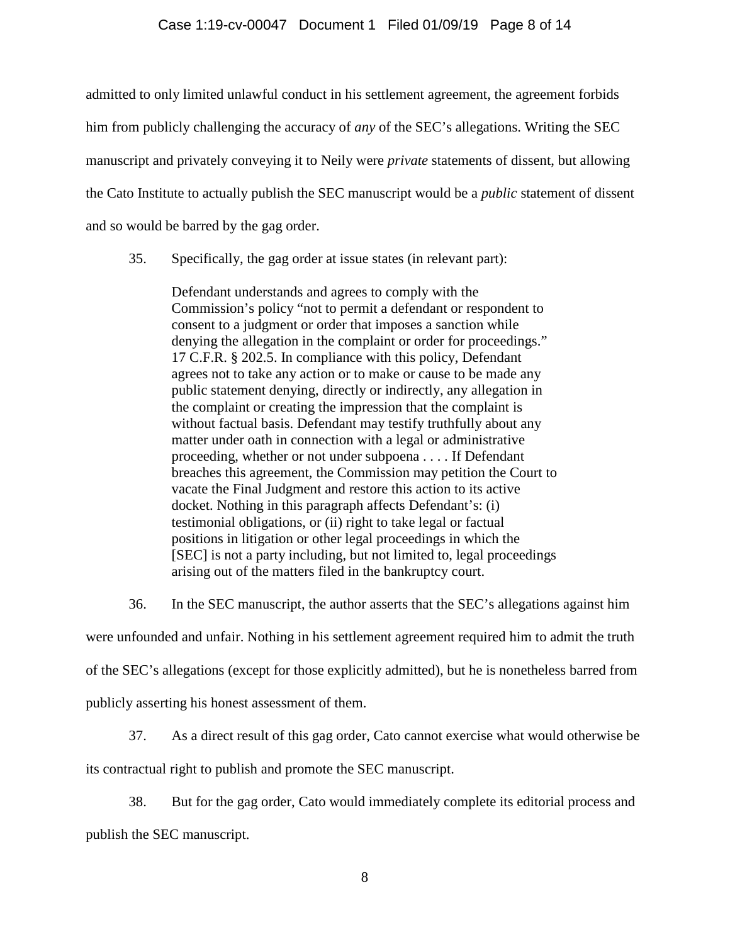#### Case 1:19-cv-00047 Document 1 Filed 01/09/19 Page 8 of 14

admitted to only limited unlawful conduct in his settlement agreement, the agreement forbids him from publicly challenging the accuracy of *any* of the SEC's allegations. Writing the SEC manuscript and privately conveying it to Neily were *private* statements of dissent, but allowing the Cato Institute to actually publish the SEC manuscript would be a *public* statement of dissent and so would be barred by the gag order.

35. Specifically, the gag order at issue states (in relevant part):

Defendant understands and agrees to comply with the Commission's policy "not to permit a defendant or respondent to consent to a judgment or order that imposes a sanction while denying the allegation in the complaint or order for proceedings." 17 C.F.R. § 202.5. In compliance with this policy, Defendant agrees not to take any action or to make or cause to be made any public statement denying, directly or indirectly, any allegation in the complaint or creating the impression that the complaint is without factual basis. Defendant may testify truthfully about any matter under oath in connection with a legal or administrative proceeding, whether or not under subpoena . . . . If Defendant breaches this agreement, the Commission may petition the Court to vacate the Final Judgment and restore this action to its active docket. Nothing in this paragraph affects Defendant's: (i) testimonial obligations, or (ii) right to take legal or factual positions in litigation or other legal proceedings in which the [SEC] is not a party including, but not limited to, legal proceedings arising out of the matters filed in the bankruptcy court.

36. In the SEC manuscript, the author asserts that the SEC's allegations against him

were unfounded and unfair. Nothing in his settlement agreement required him to admit the truth

of the SEC's allegations (except for those explicitly admitted), but he is nonetheless barred from

publicly asserting his honest assessment of them.

37. As a direct result of this gag order, Cato cannot exercise what would otherwise be

its contractual right to publish and promote the SEC manuscript.

38. But for the gag order, Cato would immediately complete its editorial process and publish the SEC manuscript.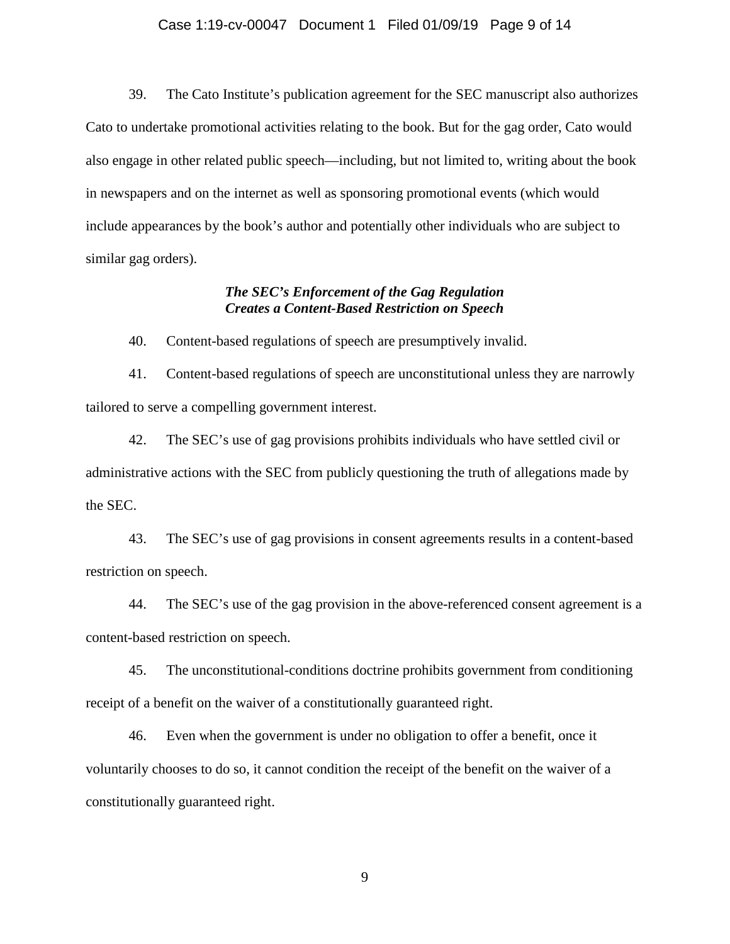#### Case 1:19-cv-00047 Document 1 Filed 01/09/19 Page 9 of 14

39. The Cato Institute's publication agreement for the SEC manuscript also authorizes Cato to undertake promotional activities relating to the book. But for the gag order, Cato would also engage in other related public speech—including, but not limited to, writing about the book in newspapers and on the internet as well as sponsoring promotional events (which would include appearances by the book's author and potentially other individuals who are subject to similar gag orders).

## *The SEC's Enforcement of the Gag Regulation Creates a Content-Based Restriction on Speech*

40. Content-based regulations of speech are presumptively invalid.

41. Content-based regulations of speech are unconstitutional unless they are narrowly tailored to serve a compelling government interest.

42. The SEC's use of gag provisions prohibits individuals who have settled civil or administrative actions with the SEC from publicly questioning the truth of allegations made by the SEC.

43. The SEC's use of gag provisions in consent agreements results in a content-based restriction on speech.

44. The SEC's use of the gag provision in the above-referenced consent agreement is a content-based restriction on speech.

45. The unconstitutional-conditions doctrine prohibits government from conditioning receipt of a benefit on the waiver of a constitutionally guaranteed right.

46. Even when the government is under no obligation to offer a benefit, once it voluntarily chooses to do so, it cannot condition the receipt of the benefit on the waiver of a constitutionally guaranteed right.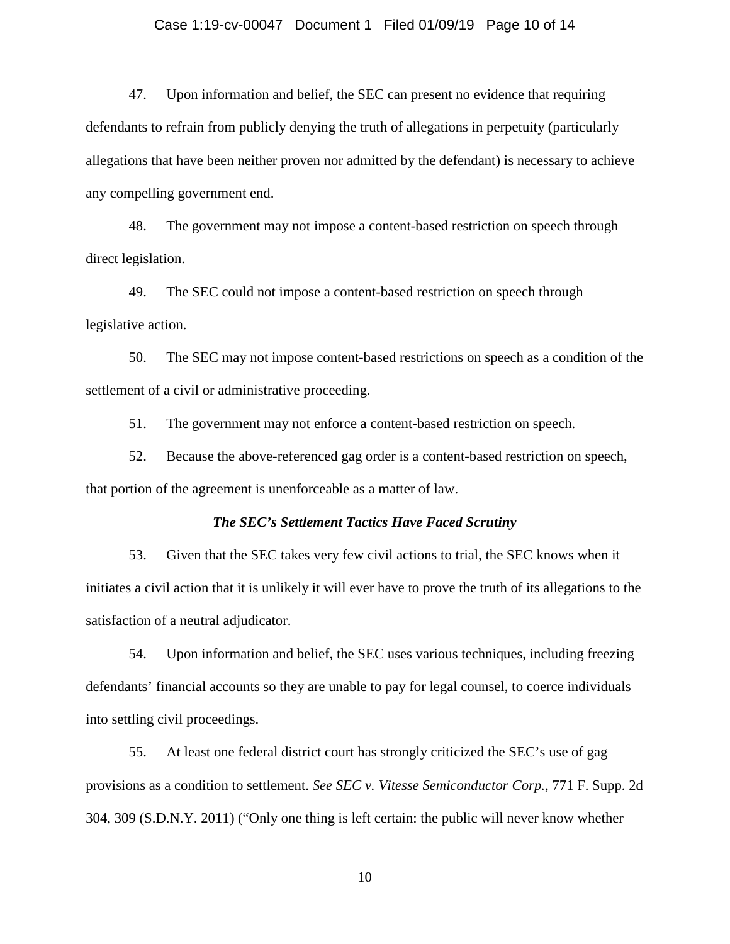#### Case 1:19-cv-00047 Document 1 Filed 01/09/19 Page 10 of 14

47. Upon information and belief, the SEC can present no evidence that requiring defendants to refrain from publicly denying the truth of allegations in perpetuity (particularly allegations that have been neither proven nor admitted by the defendant) is necessary to achieve any compelling government end.

48. The government may not impose a content-based restriction on speech through direct legislation.

49. The SEC could not impose a content-based restriction on speech through legislative action.

50. The SEC may not impose content-based restrictions on speech as a condition of the settlement of a civil or administrative proceeding.

51. The government may not enforce a content-based restriction on speech.

52. Because the above-referenced gag order is a content-based restriction on speech, that portion of the agreement is unenforceable as a matter of law.

#### *The SEC's Settlement Tactics Have Faced Scrutiny*

53. Given that the SEC takes very few civil actions to trial, the SEC knows when it initiates a civil action that it is unlikely it will ever have to prove the truth of its allegations to the satisfaction of a neutral adjudicator.

54. Upon information and belief, the SEC uses various techniques, including freezing defendants' financial accounts so they are unable to pay for legal counsel, to coerce individuals into settling civil proceedings.

55. At least one federal district court has strongly criticized the SEC's use of gag provisions as a condition to settlement. *See SEC v. Vitesse Semiconductor Corp.*, 771 F. Supp. 2d 304, 309 (S.D.N.Y. 2011) ("Only one thing is left certain: the public will never know whether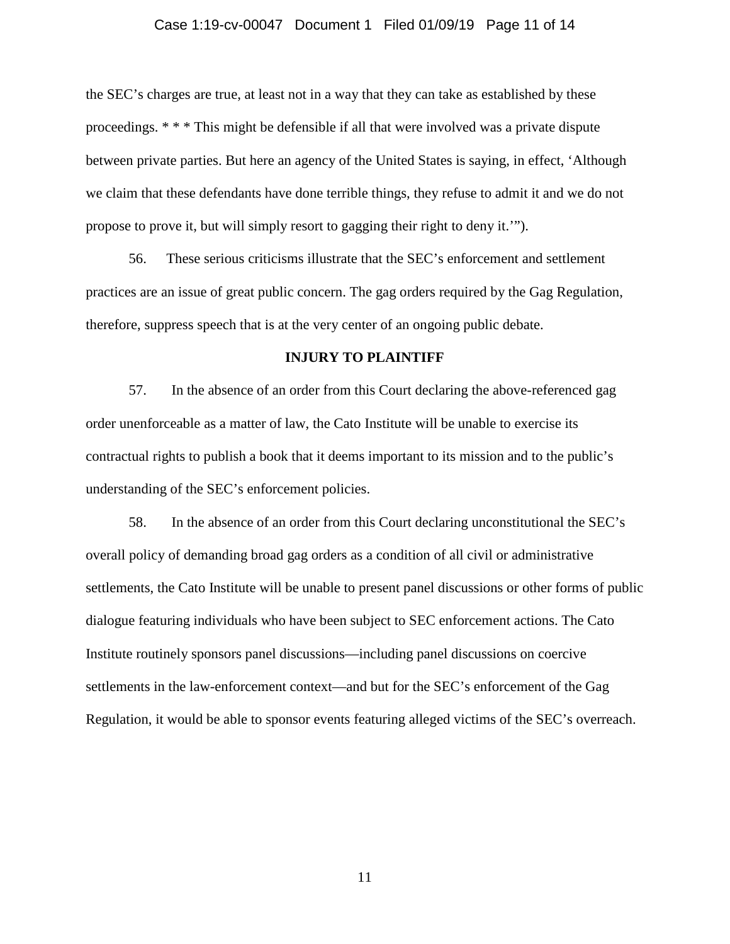#### Case 1:19-cv-00047 Document 1 Filed 01/09/19 Page 11 of 14

the SEC's charges are true, at least not in a way that they can take as established by these proceedings. \* \* \* This might be defensible if all that were involved was a private dispute between private parties. But here an agency of the United States is saying, in effect, 'Although we claim that these defendants have done terrible things, they refuse to admit it and we do not propose to prove it, but will simply resort to gagging their right to deny it.'").

56. These serious criticisms illustrate that the SEC's enforcement and settlement practices are an issue of great public concern. The gag orders required by the Gag Regulation, therefore, suppress speech that is at the very center of an ongoing public debate.

#### **INJURY TO PLAINTIFF**

57. In the absence of an order from this Court declaring the above-referenced gag order unenforceable as a matter of law, the Cato Institute will be unable to exercise its contractual rights to publish a book that it deems important to its mission and to the public's understanding of the SEC's enforcement policies.

58. In the absence of an order from this Court declaring unconstitutional the SEC's overall policy of demanding broad gag orders as a condition of all civil or administrative settlements, the Cato Institute will be unable to present panel discussions or other forms of public dialogue featuring individuals who have been subject to SEC enforcement actions. The Cato Institute routinely sponsors panel discussions—including panel discussions on coercive settlements in the law-enforcement context—and but for the SEC's enforcement of the Gag Regulation, it would be able to sponsor events featuring alleged victims of the SEC's overreach.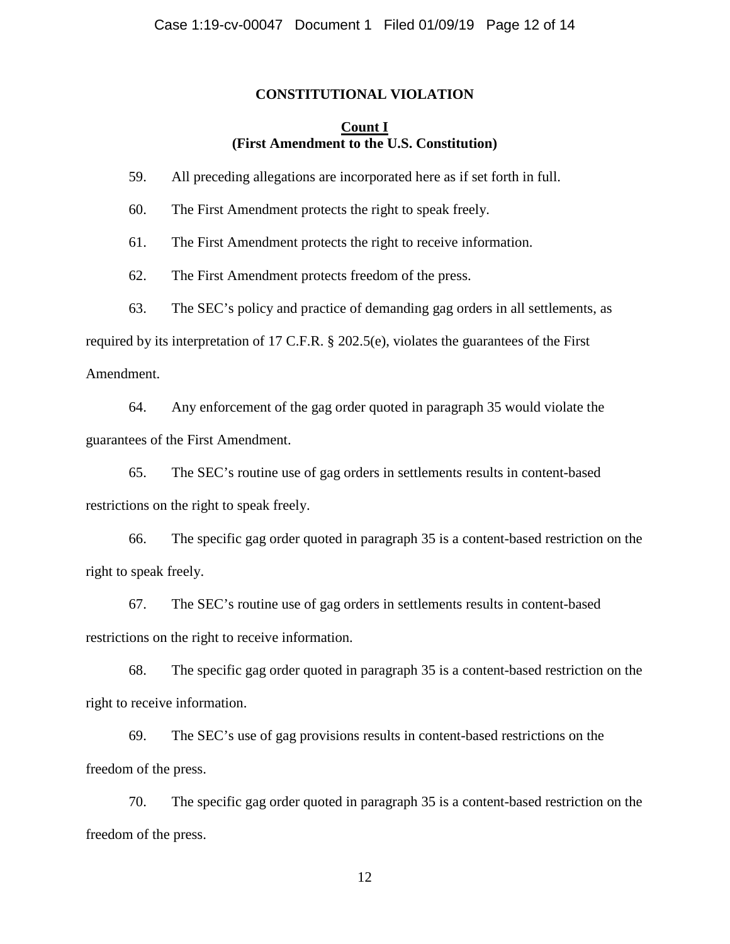### **CONSTITUTIONAL VIOLATION**

## **Count I (First Amendment to the U.S. Constitution)**

59. All preceding allegations are incorporated here as if set forth in full.

60. The First Amendment protects the right to speak freely.

61. The First Amendment protects the right to receive information.

62. The First Amendment protects freedom of the press.

63. The SEC's policy and practice of demanding gag orders in all settlements, as

required by its interpretation of 17 C.F.R. § 202.5(e), violates the guarantees of the First

Amendment.

64. Any enforcement of the gag order quoted in paragraph 35 would violate the guarantees of the First Amendment.

65. The SEC's routine use of gag orders in settlements results in content-based restrictions on the right to speak freely.

66. The specific gag order quoted in paragraph 35 is a content-based restriction on the right to speak freely.

67. The SEC's routine use of gag orders in settlements results in content-based restrictions on the right to receive information.

68. The specific gag order quoted in paragraph 35 is a content-based restriction on the right to receive information.

69. The SEC's use of gag provisions results in content-based restrictions on the freedom of the press.

70. The specific gag order quoted in paragraph 35 is a content-based restriction on the freedom of the press.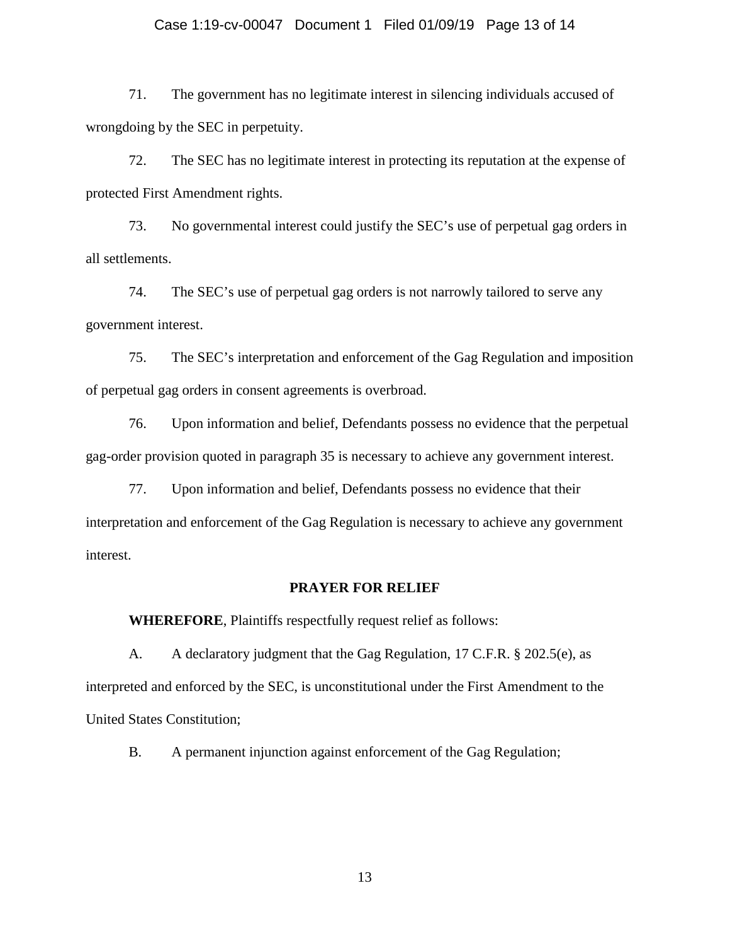#### Case 1:19-cv-00047 Document 1 Filed 01/09/19 Page 13 of 14

71. The government has no legitimate interest in silencing individuals accused of wrongdoing by the SEC in perpetuity.

72. The SEC has no legitimate interest in protecting its reputation at the expense of protected First Amendment rights.

73. No governmental interest could justify the SEC's use of perpetual gag orders in all settlements.

74. The SEC's use of perpetual gag orders is not narrowly tailored to serve any government interest.

75. The SEC's interpretation and enforcement of the Gag Regulation and imposition of perpetual gag orders in consent agreements is overbroad.

76. Upon information and belief, Defendants possess no evidence that the perpetual gag-order provision quoted in paragraph 35 is necessary to achieve any government interest.

77. Upon information and belief, Defendants possess no evidence that their interpretation and enforcement of the Gag Regulation is necessary to achieve any government interest.

### **PRAYER FOR RELIEF**

**WHEREFORE**, Plaintiffs respectfully request relief as follows:

A. A declaratory judgment that the Gag Regulation, 17 C.F.R. § 202.5(e), as interpreted and enforced by the SEC, is unconstitutional under the First Amendment to the United States Constitution;

B. A permanent injunction against enforcement of the Gag Regulation;